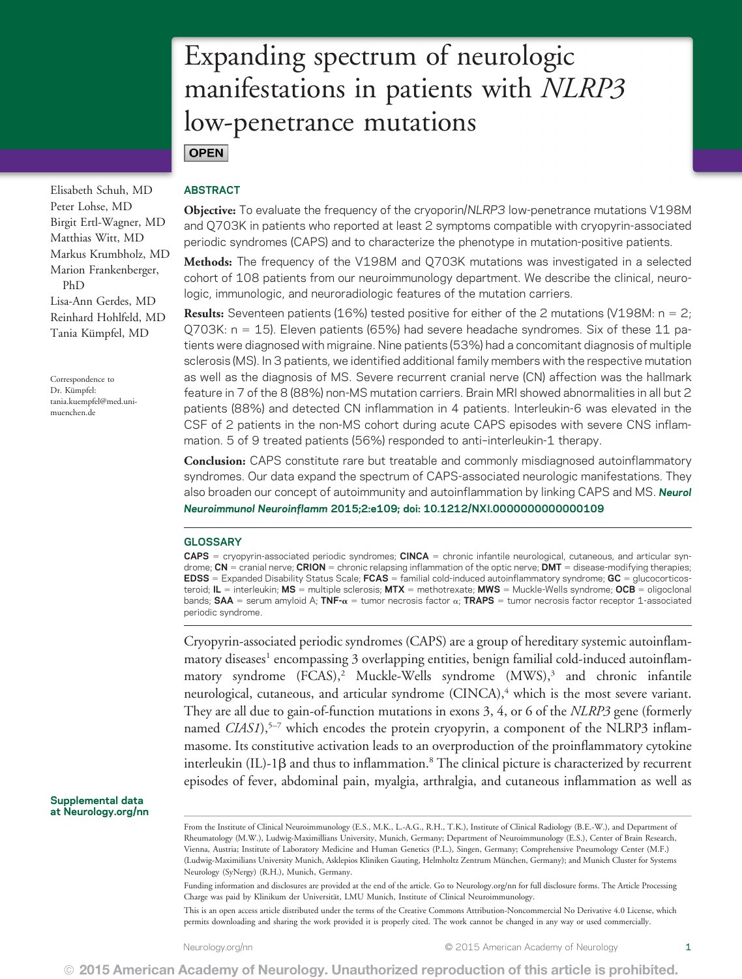# Expanding spectrum of neurologic manifestations in patients with NLRP3 low-penetrance mutations **OPEN**

Elisabeth Schuh, MD Peter Lohse, MD Birgit Ertl-Wagner, MD Matthias Witt, MD Markus Krumbholz, MD Marion Frankenberger,

PhD Lisa-Ann Gerdes, MD Reinhard Hohlfeld, MD Tania Kümpfel, MD

Correspondence to Dr. Kümpfel: [tania.kuempfel@med.uni](mailto:tania.kuempfel@med.uni-muenchen.de)[muenchen.de](mailto:tania.kuempfel@med.uni-muenchen.de)

## ABSTRACT

Objective: To evaluate the frequency of the cryoporin/NLRP3 low-penetrance mutations V198M and Q703K in patients who reported at least 2 symptoms compatible with cryopyrin-associated periodic syndromes (CAPS) and to characterize the phenotype in mutation-positive patients.

Methods: The frequency of the V198M and Q703K mutations was investigated in a selected cohort of 108 patients from our neuroimmunology department. We describe the clinical, neurologic, immunologic, and neuroradiologic features of the mutation carriers.

**Results:** Seventeen patients (16%) tested positive for either of the 2 mutations (V198M:  $n = 2$ ;  $Q703K$ : n = 15). Eleven patients (65%) had severe headache syndromes. Six of these 11 patients were diagnosed with migraine. Nine patients (53%) had a concomitant diagnosis of multiple sclerosis (MS). In 3 patients, we identified additional family members with the respective mutation as well as the diagnosis of MS. Severe recurrent cranial nerve (CN) affection was the hallmark feature in 7 of the 8 (88%) non-MS mutation carriers. Brain MRI showed abnormalities in all but 2 patients (88%) and detected CN inflammation in 4 patients. Interleukin-6 was elevated in the CSF of 2 patients in the non-MS cohort during acute CAPS episodes with severe CNS inflammation. 5 of 9 treated patients (56%) responded to anti–interleukin-1 therapy.

**Conclusion:** CAPS constitute rare but treatable and commonly misdiagnosed autoinflammatory syndromes. Our data expand the spectrum of CAPS-associated neurologic manifestations. They also broaden our concept of autoimmunity and autoinflammation by linking CAPS and MS. Neurol Neuroimmunol Neuroinflamm 2015;2:e109; doi: 10.1212/NXI.0000000000000109

### GLOSSARY

 $CAPS = cryopyrin-associated periodic syndromes; CINCA = chronic infantile neurological, cutaneous, and articular syn$ drome;  $CN =$  cranial nerve; CRION = chronic relapsing inflammation of the optic nerve; DMT = disease-modifying therapies;  $EDSS =$  Expanded Disability Status Scale;  $FCAS =$  familial cold-induced autoinflammatory syndrome;  $GC =$  glucocorticosteroid; IL = interleukin; MS = multiple sclerosis; MTX = methotrexate; MWS = Muckle-Wells syndrome; OCB = oligoclonal bands; SAA = serum amyloid A; TNF- $\alpha$  = tumor necrosis factor  $\alpha$ ; TRAPS = tumor necrosis factor receptor 1-associated periodic syndrome.

Cryopyrin-associated periodic syndromes (CAPS) are a group of hereditary systemic autoinflammatory diseases<sup>1</sup> encompassing 3 overlapping entities, benign familial cold-induced autoinflammatory syndrome  $(FCAS),^2$  Muckle-Wells syndrome  $(MWS),^3$  and chronic infantile neurological, cutaneous, and articular syndrome (CINCA),<sup>4</sup> which is the most severe variant. They are all due to gain-of-function mutations in exons 3, 4, or 6 of the NLRP3 gene (formerly named CIAS1),<sup>5-7</sup> which encodes the protein cryopyrin, a component of the NLRP3 inflammasome. Its constitutive activation leads to an overproduction of the proinflammatory cytokine interleukin (IL)-1 $\beta$  and thus to inflammation.<sup>8</sup> The clinical picture is characterized by recurrent episodes of fever, abdominal pain, myalgia, arthralgia, and cutaneous inflammation as well as

Supplemental data at [Neurology.org/nn](http://nn.neurology.org/lookup/doi/10.1212/NXI.0000000000000109)

Funding information and disclosures are provided at the end of the article. Go to [Neurology.org/nn](http://nn.neurology.org/lookup/doi/10.1212/NXI.0000000000000109) for full disclosure forms. The Article Processing Charge was paid by Klinikum der Universität, LMU Munich, Institute of Clinical Neuroimmunology.

This is an open access article distributed under the terms of the Creative Commons Attribution-Noncommercial No Derivative 4.0 License, which permits downloading and sharing the work provided it is properly cited. The work cannot be changed in any way or used commercially.

From the Institute of Clinical Neuroimmunology (E.S., M.K., L.-A.G., R.H., T.K.), Institute of Clinical Radiology (B.E.-W.), and Department of Rheumatology (M.W.), Ludwig-Maximillians University, Munich, Germany; Department of Neuroimmunology (E.S.), Center of Brain Research, Vienna, Austria; Institute of Laboratory Medicine and Human Genetics (P.L.), Singen, Germany; Comprehensive Pneumology Center (M.F.) (Ludwig-Maximilians University Munich, Asklepios Kliniken Gauting, Helmholtz Zentrum München, Germany); and Munich Cluster for Systems Neurology (SyNergy) (R.H.), Munich, Germany.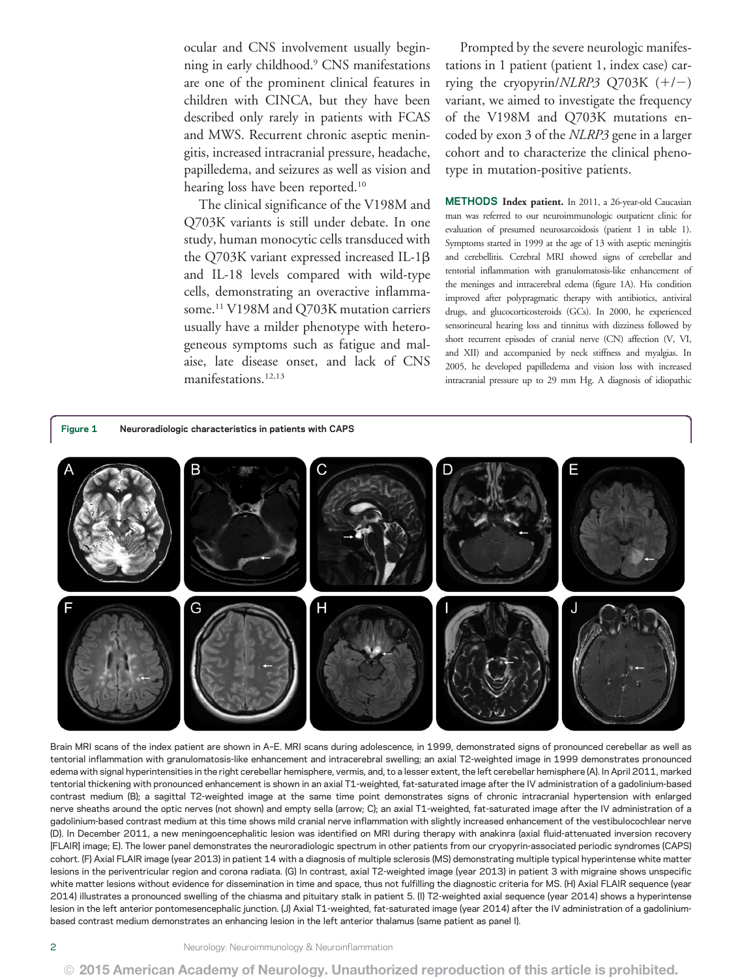ocular and CNS involvement usually beginning in early childhood.9 CNS manifestations are one of the prominent clinical features in children with CINCA, but they have been described only rarely in patients with FCAS and MWS. Recurrent chronic aseptic meningitis, increased intracranial pressure, headache, papilledema, and seizures as well as vision and hearing loss have been reported.<sup>10</sup>

The clinical significance of the V198M and Q703K variants is still under debate. In one study, human monocytic cells transduced with the Q703K variant expressed increased IL-1 $\beta$ and IL-18 levels compared with wild-type cells, demonstrating an overactive inflammasome.<sup>11</sup> V198M and Q703K mutation carriers usually have a milder phenotype with heterogeneous symptoms such as fatigue and malaise, late disease onset, and lack of CNS manifestations.<sup>12,13</sup>

Prompted by the severe neurologic manifestations in 1 patient (patient 1, index case) carrying the cryopyrin/NLRP3  $Q703K (+/-)$ variant, we aimed to investigate the frequency of the V198M and Q703K mutations encoded by exon 3 of the NLRP3 gene in a larger cohort and to characterize the clinical phenotype in mutation-positive patients.

METHODS Index patient. In 2011, a 26-year-old Caucasian man was referred to our neuroimmunologic outpatient clinic for evaluation of presumed neurosarcoidosis (patient 1 in table 1). Symptoms started in 1999 at the age of 13 with aseptic meningitis and cerebellitis. Cerebral MRI showed signs of cerebellar and tentorial inflammation with granulomatosis-like enhancement of the meninges and intracerebral edema (figure 1A). His condition improved after polypragmatic therapy with antibiotics, antiviral drugs, and glucocorticosteroids (GCs). In 2000, he experienced sensorineural hearing loss and tinnitus with dizziness followed by short recurrent episodes of cranial nerve (CN) affection (V, VI, and XII) and accompanied by neck stiffness and myalgias. In 2005, he developed papilledema and vision loss with increased intracranial pressure up to 29 mm Hg. A diagnosis of idiopathic





Brain MRI scans of the index patient are shown in A–E. MRI scans during adolescence, in 1999, demonstrated signs of pronounced cerebellar as well as tentorial inflammation with granulomatosis-like enhancement and intracerebral swelling; an axial T2-weighted image in 1999 demonstrates pronounced edema with signal hyperintensities in the right cerebellar hemisphere, vermis, and, to a lesser extent, the left cerebellar hemisphere (A). In April 2011, marked tentorial thickening with pronounced enhancement is shown in an axial T1-weighted, fat-saturated image after the IV administration of a gadolinium-based contrast medium (B); a sagittal T2-weighted image at the same time point demonstrates signs of chronic intracranial hypertension with enlarged nerve sheaths around the optic nerves (not shown) and empty sella (arrow; C); an axial T1-weighted, fat-saturated image after the IV administration of a gadolinium-based contrast medium at this time shows mild cranial nerve inflammation with slightly increased enhancement of the vestibulocochlear nerve (D). In December 2011, a new meningoencephalitic lesion was identified on MRI during therapy with anakinra (axial fluid-attenuated inversion recovery [FLAIR] image; E). The lower panel demonstrates the neuroradiologic spectrum in other patients from our cryopyrin-associated periodic syndromes (CAPS) cohort. (F) Axial FLAIR image (year 2013) in patient 14 with a diagnosis of multiple sclerosis (MS) demonstrating multiple typical hyperintense white matter lesions in the periventricular region and corona radiata. (G) In contrast, axial T2-weighted image (year 2013) in patient 3 with migraine shows unspecific white matter lesions without evidence for dissemination in time and space, thus not fulfilling the diagnostic criteria for MS. (H) Axial FLAIR sequence (year 2014) illustrates a pronounced swelling of the chiasma and pituitary stalk in patient 5. (I) T2-weighted axial sequence (year 2014) shows a hyperintense lesion in the left anterior pontomesencephalic junction. (J) Axial T1-weighted, fat-saturated image (year 2014) after the IV administration of a gadoliniumbased contrast medium demonstrates an enhancing lesion in the left anterior thalamus (same patient as panel I).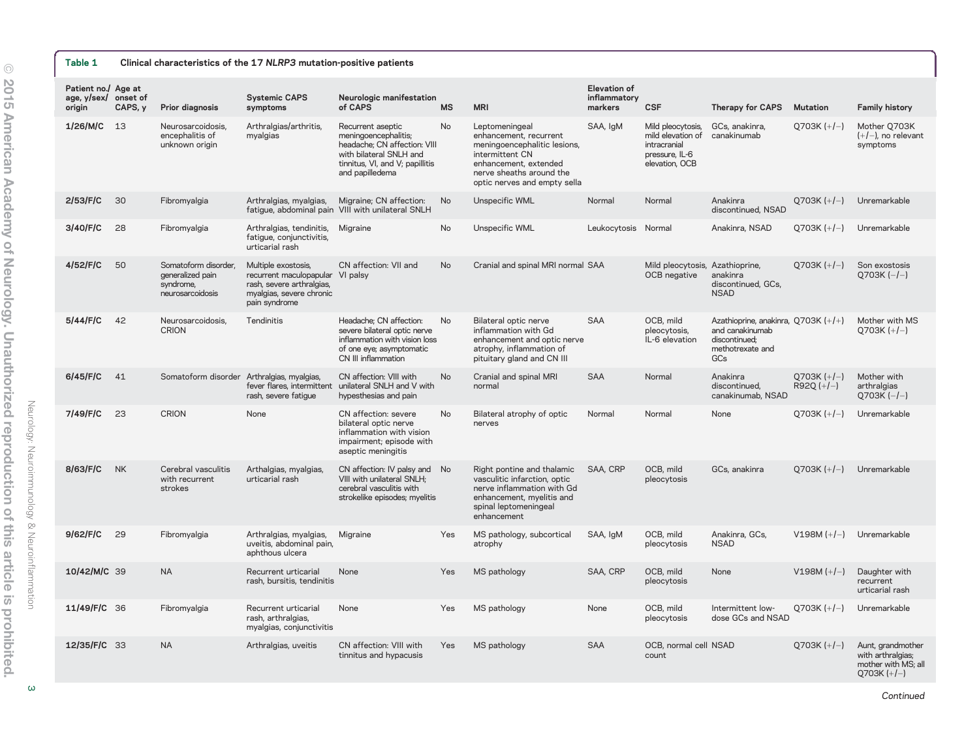| Table 1                                               |           | Clinical characteristics of the 17 NLRP3 mutation-positive patients       |                                                                                                                          |                                                                                                                                                            |           |                                                                                                                                                                                  |                                                |                                                                                            |                                                                                                      |                               |                                                                                |
|-------------------------------------------------------|-----------|---------------------------------------------------------------------------|--------------------------------------------------------------------------------------------------------------------------|------------------------------------------------------------------------------------------------------------------------------------------------------------|-----------|----------------------------------------------------------------------------------------------------------------------------------------------------------------------------------|------------------------------------------------|--------------------------------------------------------------------------------------------|------------------------------------------------------------------------------------------------------|-------------------------------|--------------------------------------------------------------------------------|
| Patient no./ Age at<br>age, y/sex/ onset of<br>origin | CAPS, y   | Prior diagnosis                                                           | <b>Systemic CAPS</b><br>symptoms                                                                                         | Neurologic manifestation<br>of CAPS                                                                                                                        | <b>MS</b> | <b>MRI</b>                                                                                                                                                                       | <b>Elevation of</b><br>inflammatory<br>markers | <b>CSF</b>                                                                                 | <b>Therapy for CAPS</b>                                                                              | <b>Mutation</b>               | <b>Family history</b>                                                          |
| 1/26/M/C                                              | 13        | Neurosarcoidosis,<br>encephalitis of<br>unknown origin                    | Arthralgias/arthritis,<br>myalgias                                                                                       | Recurrent aseptic<br>meningoencephalitis;<br>headache: CN affection: VIII<br>with bilateral SNLH and<br>tinnitus, VI, and V; papillitis<br>and papilledema | No        | Leptomeningeal<br>enhancement, recurrent<br>meningoencephalitic lesions,<br>intermittent CN<br>enhancement, extended<br>nerve sheaths around the<br>optic nerves and empty sella | SAA, IgM                                       | Mild pleocytosis,<br>mild elevation of<br>intracranial<br>pressure, IL-6<br>elevation, OCB | GCs, anakinra,<br>canakinumab                                                                        | $Q703K (+/-)$                 | Mother Q703K<br>$(+/-)$ , no relevant<br>symptoms                              |
| 2/53/F/C                                              | 30        | Fibromyalgia                                                              | Arthralgias, myalgias,                                                                                                   | Migraine; CN affection:<br>fatigue, abdominal pain VIII with unilateral SNLH                                                                               | <b>No</b> | Unspecific WML                                                                                                                                                                   | Normal                                         | Normal                                                                                     | Anakinra<br>discontinued, NSAD                                                                       | $Q703K (+/-)$                 | Unremarkable                                                                   |
| 3/40/F/C                                              | 28        | Fibromyalgia                                                              | Arthralgias, tendinitis, Migraine<br>fatigue, conjunctivitis,<br>urticarial rash                                         |                                                                                                                                                            | No        | Unspecific WML                                                                                                                                                                   | Leukocytosis Normal                            |                                                                                            | Anakinra, NSAD                                                                                       | $Q703K (+/-)$                 | Unremarkable                                                                   |
| 4/52/F/C                                              | 50        | Somatoform disorder,<br>generalized pain<br>syndrome,<br>neurosarcoidosis | Multiple exostosis,<br>recurrent maculopapular<br>rash, severe arthralgias,<br>myalgias, severe chronic<br>pain syndrome | CN affection: VII and<br>VI palsy                                                                                                                          | No        | Cranial and spinal MRI normal SAA                                                                                                                                                |                                                | Mild pleocytosis, Azathioprine,<br>OCB negative                                            | anakinra<br>discontinued, GCs,<br><b>NSAD</b>                                                        | $Q703K (+/-)$                 | Son exostosis<br>$Q703K$ (-/-)                                                 |
| 5/44/F/C                                              | 42        | Neurosarcoidosis,<br><b>CRION</b>                                         | Tendinitis                                                                                                               | Headache; CN affection:<br>severe bilateral optic nerve<br>inflammation with vision loss<br>of one eye; asymptomatic<br>CN III inflammation                | No        | Bilateral optic nerve<br>inflammation with Gd<br>enhancement and optic nerve<br>atrophy, inflammation of<br>pituitary gland and CN III                                           | <b>SAA</b>                                     | OCB, mild<br>pleocytosis,<br>IL-6 elevation                                                | Azathioprine, anakinra, $Q703K (+/+)$<br>and canakinumab<br>discontinued:<br>methotrexate and<br>GCs |                               | Mother with MS<br>$Q703K (+/-)$                                                |
| 6/45/F/C                                              | 41        | Somatoform disorder Arthralgias, myalgias,                                | fever flares, intermittent<br>rash, severe fatique                                                                       | CN affection: VIII with<br>unilateral SNLH and V with<br>hypesthesias and pain                                                                             | <b>No</b> | Cranial and spinal MRI<br>normal                                                                                                                                                 | <b>SAA</b>                                     | Normal                                                                                     | Anakinra<br>discontinued,<br>canakinumab, NSAD                                                       | $0703K (+/-)$<br>$R92Q (+/-)$ | Mother with<br>arthralgias<br>$Q703K(-/-)$                                     |
| 7/49/F/C                                              | 23        | <b>CRION</b>                                                              | None                                                                                                                     | CN affection: severe<br>bilateral optic nerve<br>inflammation with vision<br>impairment; episode with<br>aseptic meningitis                                | No        | Bilateral atrophy of optic<br>nerves                                                                                                                                             | Normal                                         | Normal                                                                                     | None                                                                                                 | $Q703K (+/-)$                 | Unremarkable                                                                   |
| 8/63/F/C                                              | <b>NK</b> | Cerebral vasculitis<br>with recurrent<br>strokes                          | Arthalgias, myalgias,<br>urticarial rash                                                                                 | CN affection: IV palsy and No<br>VIII with unilateral SNLH;<br>cerebral vasculitis with<br>strokelike episodes; myelitis                                   |           | Right pontine and thalamic<br>vasculitic infarction, optic<br>nerve inflammation with Gd<br>enhancement, myelitis and<br>spinal leptomeningeal<br>enhancement                    | SAA, CRP                                       | OCB, mild<br>pleocytosis                                                                   | GCs, anakinra                                                                                        | $Q703K (+/-)$                 | Unremarkable                                                                   |
| 9/62/F/C                                              | 29        | Fibromyalgia                                                              | Arthralgias, myalgias,<br>uveitis, abdominal pain,<br>aphthous ulcera                                                    | Migraine                                                                                                                                                   | Yes       | MS pathology, subcortical<br>atrophy                                                                                                                                             | SAA, IgM                                       | OCB, mild<br>pleocytosis                                                                   | Anakinra, GCs,<br><b>NSAD</b>                                                                        | $V198M (+/-)$                 | Unremarkable                                                                   |
| 10/42/M/C 39                                          |           | <b>NA</b>                                                                 | Recurrent urticarial<br>rash, bursitis, tendinitis                                                                       | None                                                                                                                                                       | Yes       | MS pathology                                                                                                                                                                     | SAA, CRP                                       | OCB, mild<br>pleocytosis                                                                   | None                                                                                                 | $V198M (+/-)$                 | Daughter with<br>recurrent<br>urticarial rash                                  |
| 11/49/F/C 36                                          |           | Fibromyalgia                                                              | Recurrent urticarial<br>rash, arthralgias,<br>myalgias, conjunctivitis                                                   | None                                                                                                                                                       | Yes       | MS pathology                                                                                                                                                                     | None                                           | OCB, mild<br>pleocytosis                                                                   | Intermittent low-<br>dose GCs and NSAD                                                               | $Q703K (+/-)$                 | Unremarkable                                                                   |
| 12/35/F/C 33                                          |           | <b>NA</b>                                                                 | Arthralgias, uveitis                                                                                                     | CN affection: VIII with<br>tinnitus and hypacusis                                                                                                          | Yes       | MS pathology                                                                                                                                                                     | <b>SAA</b>                                     | OCB, normal cell NSAD<br>count                                                             |                                                                                                      | $Q703K (+/-)$                 | Aunt, grandmother<br>with arthralgias;<br>mother with MS; all<br>$0703K (+/-)$ |

Neurology: Neuroimmunology & Neuroinflammation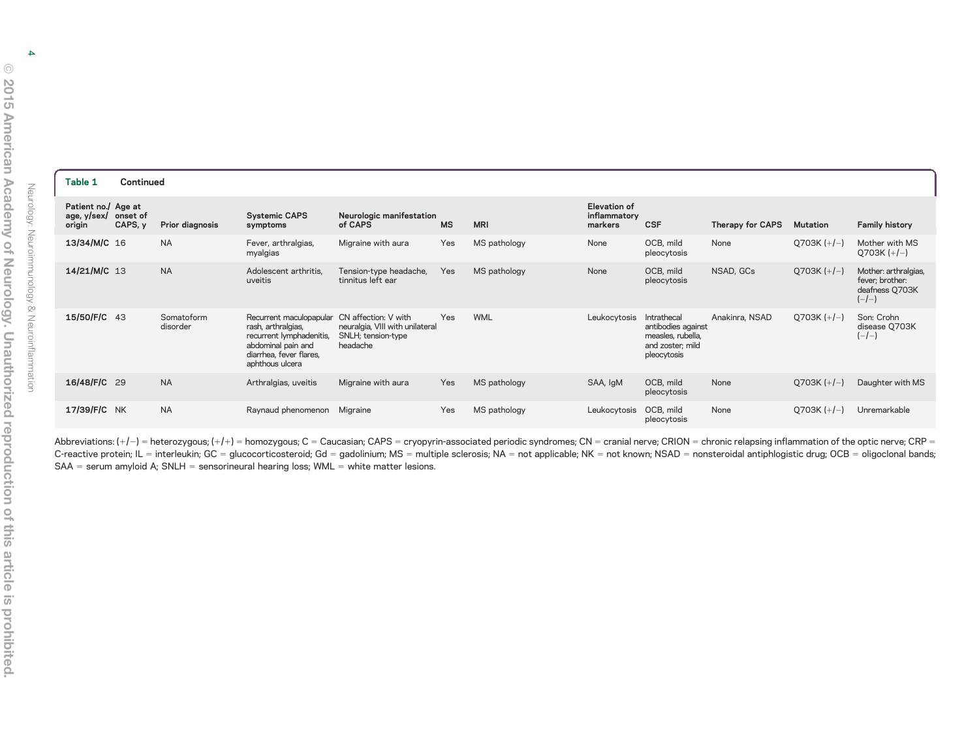| Table 1                                               | Continued |                        |                                                                                                                                                                    |                                                                   |           |              |                                         |                                                                                           |                  |                 |                                                                      |
|-------------------------------------------------------|-----------|------------------------|--------------------------------------------------------------------------------------------------------------------------------------------------------------------|-------------------------------------------------------------------|-----------|--------------|-----------------------------------------|-------------------------------------------------------------------------------------------|------------------|-----------------|----------------------------------------------------------------------|
| Patient no./ Age at<br>age, y/sex/ onset of<br>origin | CAPS, y   | Prior diagnosis        | <b>Systemic CAPS</b><br>symptoms                                                                                                                                   | Neurologic manifestation<br>of CAPS                               | <b>MS</b> | <b>MRI</b>   | Elevation of<br>inflammatory<br>markers | <b>CSF</b>                                                                                | Therapy for CAPS | <b>Mutation</b> | <b>Family history</b>                                                |
| 13/34/M/C 16                                          |           | <b>NA</b>              | Fever, arthralgias,<br>myalgias                                                                                                                                    | Migraine with aura                                                | Yes       | MS pathology | None                                    | OCB, mild<br>pleocytosis                                                                  | None             | $Q703K (+/-)$   | Mother with MS<br>$Q703K (+/-)$                                      |
| 14/21/M/C 13                                          |           | <b>NA</b>              | Adolescent arthritis.<br>uveitis                                                                                                                                   | Tension-type headache,<br>tinnitus left ear                       | Yes       | MS pathology | None                                    | OCB, mild<br>pleocytosis                                                                  | NSAD, GCs        | $Q703K (+/-)$   | Mother: arthralgias,<br>fever; brother:<br>deafness Q703K<br>$(-/-)$ |
| 15/50/F/C 43                                          |           | Somatoform<br>disorder | Recurrent maculopapular CN affection: V with<br>rash, arthralgias,<br>recurrent lymphadenitis,<br>abdominal pain and<br>diarrhea, fever flares,<br>aphthous ulcera | neuralgia, VIII with unilateral<br>SNLH; tension-type<br>headache | Yes       | <b>WML</b>   | Leukocytosis                            | Intrathecal<br>antibodies against<br>measles, rubella,<br>and zoster; mild<br>pleocytosis | Anakinra, NSAD   | $Q703K (+/-)$   | Son: Crohn<br>disease Q703K<br>$(-/-)$                               |
| 16/48/F/C 29                                          |           | <b>NA</b>              | Arthralgias, uveitis                                                                                                                                               | Migraine with aura                                                | Yes       | MS pathology | SAA, IgM                                | OCB, mild<br>pleocytosis                                                                  | None             | $Q703K (+/-)$   | Daughter with MS                                                     |
| 17/39/F/C NK                                          |           | <b>NA</b>              | Raynaud phenomenon Migraine                                                                                                                                        |                                                                   | Yes       | MS pathology | Leukocytosis                            | OCB, mild<br>pleocytosis                                                                  | None             | $Q703K (+/-)$   | Unremarkable                                                         |

Abbreviations:  $(+/-)$  = heterozygous;  $(+/-)$  = homozygous; C = Caucasian; CAPS = cryopyrin-associated periodic syndromes; CN = cranial nerve; CRION = chronic relapsing inflammation of the optic nerve; CRP = C-reactive protein; IL = interleukin; GC = glucocorticosteroid; Gd = gadolinium; MS = multiple sclerosis; NA = not applicable; NK = not known; NSAD = nonsteroidal antiphlogistic drug; OCB = oligoclonal bands; SAA = serum amyloid A; SNLH = sensorineural hearing loss; WML = white matter lesions.

Neurology: Neuroimmunology & Neuroinflammation

f.

 $\odot$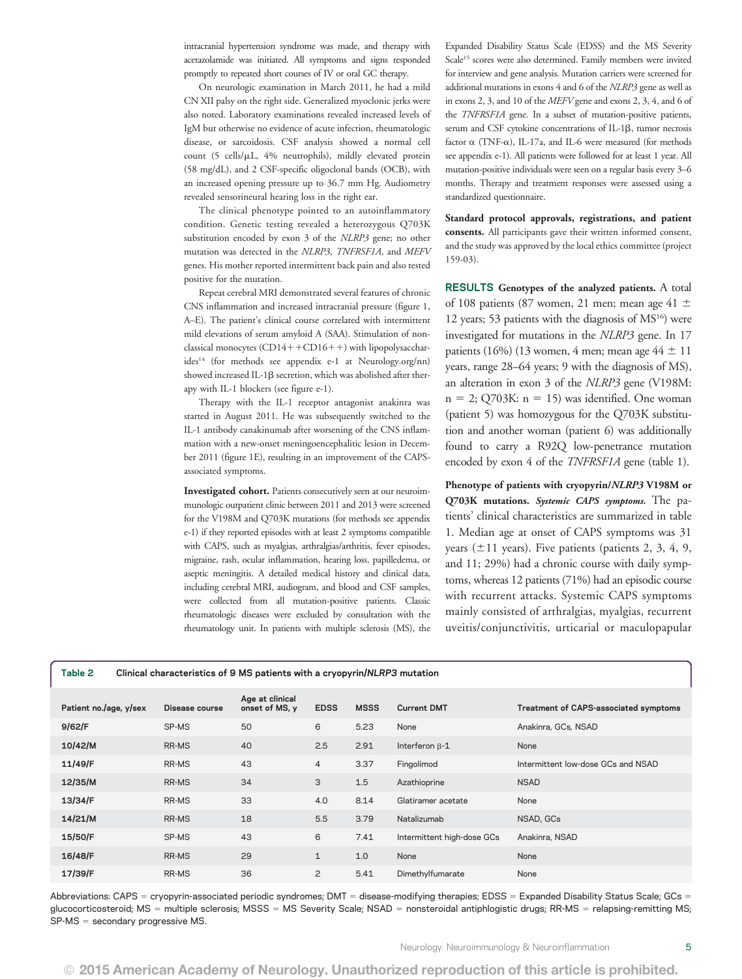intracranial hypertension syndrome was made, and therapy with acetazolamide was initiated. All symptoms and signs responded promptly to repeated short courses of IV or oral GC therapy.

On neurologic examination in March 2011, he had a mild CN XII palsy on the right side. Generalized myoclonic jerks were also noted. Laboratory examinations revealed increased levels of IgM but otherwise no evidence of acute infection, rheumatologic disease, or sarcoidosis. CSF analysis showed a normal cell count (5 cells/ $\mu$ L, 4% neutrophils), mildly elevated protein (58 mg/dL), and 2 CSF-specific oligoclonal bands (OCB), with an increased opening pressure up to 36.7 mm Hg. Audiometry revealed sensorineural hearing loss in the right ear.

The clinical phenotype pointed to an autoinflammatory condition. Genetic testing revealed a heterozygous Q703K substitution encoded by exon 3 of the NLRP3 gene; no other mutation was detected in the NLRP3, TNFRSF1A, and MEFV genes. His mother reported intermittent back pain and also tested positive for the mutation.

Repeat cerebral MRI demonstrated several features of chronic CNS inflammation and increased intracranial pressure (figure 1, A–E). The patient's clinical course correlated with intermittent mild elevations of serum amyloid A (SAA). Stimulation of nonclassical monocytes  $(CD14++CD16++)$  with lipopolysacchar-ides<sup>14</sup> (for methods see appendix e-1 at [Neurology.org/nn](http://nn.neurology.org/lookup/doi/10.1212/NXI.0000000000000109)) showed increased IL-1 $\beta$  secretion, which was abolished after therapy with IL-1 blockers (see figure e-1).

Therapy with the IL-1 receptor antagonist anakinra was started in August 2011. He was subsequently switched to the IL-1 antibody canakinumab after worsening of the CNS inflammation with a new-onset meningoencephalitic lesion in December 2011 (figure 1E), resulting in an improvement of the CAPSassociated symptoms.

Investigated cohort. Patients consecutively seen at our neuroimmunologic outpatient clinic between 2011 and 2013 were screened for the V198M and Q703K mutations (for methods see appendix e-1) if they reported episodes with at least 2 symptoms compatible with CAPS, such as myalgias, arthralgias/arthritis, fever episodes, migraine, rash, ocular inflammation, hearing loss, papilledema, or aseptic meningitis. A detailed medical history and clinical data, including cerebral MRI, audiogram, and blood and CSF samples, were collected from all mutation-positive patients. Classic rheumatologic diseases were excluded by consultation with the rheumatology unit. In patients with multiple sclerosis (MS), the

Expanded Disability Status Scale (EDSS) and the MS Severity Scale<sup>15</sup> scores were also determined. Family members were invited for interview and gene analysis. Mutation carriers were screened for additional mutations in exons 4 and 6 of the NLRP3 gene as well as in exons 2, 3, and 10 of the MEFV gene and exons 2, 3, 4, and 6 of the TNFRSF1A gene. In a subset of mutation-positive patients, serum and CSF cytokine concentrations of IL-1 $\beta$ , tumor necrosis factor  $\alpha$  (TNF- $\alpha$ ), IL-17a, and IL-6 were measured (for methods see appendix e-1). All patients were followed for at least 1 year. All mutation-positive individuals were seen on a regular basis every 3–6 months. Therapy and treatment responses were assessed using a standardized questionnaire.

Standard protocol approvals, registrations, and patient consents. All participants gave their written informed consent, and the study was approved by the local ethics committee (project 159-03).

RESULTS Genotypes of the analyzed patients. A total of 108 patients (87 women, 21 men; mean age 41  $\pm$ 12 years; 53 patients with the diagnosis of  $MS<sup>16</sup>$ ) were investigated for mutations in the NLRP3 gene. In 17 patients (16%) (13 women, 4 men; mean age  $44 \pm 11$ years, range 28–64 years; 9 with the diagnosis of MS), an alteration in exon 3 of the NLRP3 gene (V198M:  $n = 2$ ; Q703K:  $n = 15$ ) was identified. One woman (patient 5) was homozygous for the Q703K substitution and another woman (patient 6) was additionally found to carry a R92Q low-penetrance mutation encoded by exon 4 of the TNFRSF1A gene (table 1).

Phenotype of patients with cryopyrin/NLRP3 V198M or Q703K mutations. Systemic CAPS symptoms. The patients' clinical characteristics are summarized in table 1. Median age at onset of CAPS symptoms was 31 years ( $\pm$ 11 years). Five patients (patients 2, 3, 4, 9, and 11; 29%) had a chronic course with daily symptoms, whereas 12 patients (71%) had an episodic course with recurrent attacks. Systemic CAPS symptoms mainly consisted of arthralgias, myalgias, recurrent uveitis/conjunctivitis, urticarial or maculopapular

| Table 2<br>Clinical characteristics of 9 MS patients with a cryopyrin/NLRP3 mutation |                |                                   |                |             |                            |                                              |  |  |
|--------------------------------------------------------------------------------------|----------------|-----------------------------------|----------------|-------------|----------------------------|----------------------------------------------|--|--|
| Patient no./age, y/sex                                                               | Disease course | Age at clinical<br>onset of MS, y | <b>EDSS</b>    | <b>MSSS</b> | <b>Current DMT</b>         | <b>Treatment of CAPS-associated symptoms</b> |  |  |
| 9/62/F                                                                               | SP-MS          | 50                                | 6              | 5.23        | None                       | Anakinra, GCs, NSAD                          |  |  |
| 10/42/M                                                                              | RR-MS          | 40                                | 2.5            | 2.91        | Interferon $\beta$ -1      | None                                         |  |  |
| 11/49/F                                                                              | RR-MS          | 43                                | 4              | 3.37        | Fingolimod                 | Intermittent low-dose GCs and NSAD           |  |  |
| 12/35/M                                                                              | RR-MS          | 34                                | 3              | 1.5         | Azathioprine               | <b>NSAD</b>                                  |  |  |
| 13/34/F                                                                              | RR-MS          | 33                                | 4.0            | 8.14        | Glatiramer acetate         | None                                         |  |  |
| 14/21/M                                                                              | RR-MS          | 18                                | 5.5            | 3.79        | Natalizumab                | NSAD, GCs                                    |  |  |
| 15/50/F                                                                              | SP-MS          | 43                                | 6              | 7.41        | Intermittent high-dose GCs | Anakinra, NSAD                               |  |  |
| 16/48/F                                                                              | RR-MS          | 29                                | $\mathbf{1}$   | 1.0         | None                       | None                                         |  |  |
| 17/39/F                                                                              | RR-MS          | 36                                | $\overline{c}$ | 5.41        | Dimethylfumarate           | None                                         |  |  |

Abbreviations: CAPS = cryopyrin-associated periodic syndromes; DMT = disease-modifying therapies; EDSS = Expanded Disability Status Scale; GCs = glucocorticosteroid; MS = multiple sclerosis; MSSS = MS Severity Scale; NSAD = nonsteroidal antiphlogistic drugs; RR-MS = relapsing-remitting MS;  $SP-MS =$  secondary progressive MS.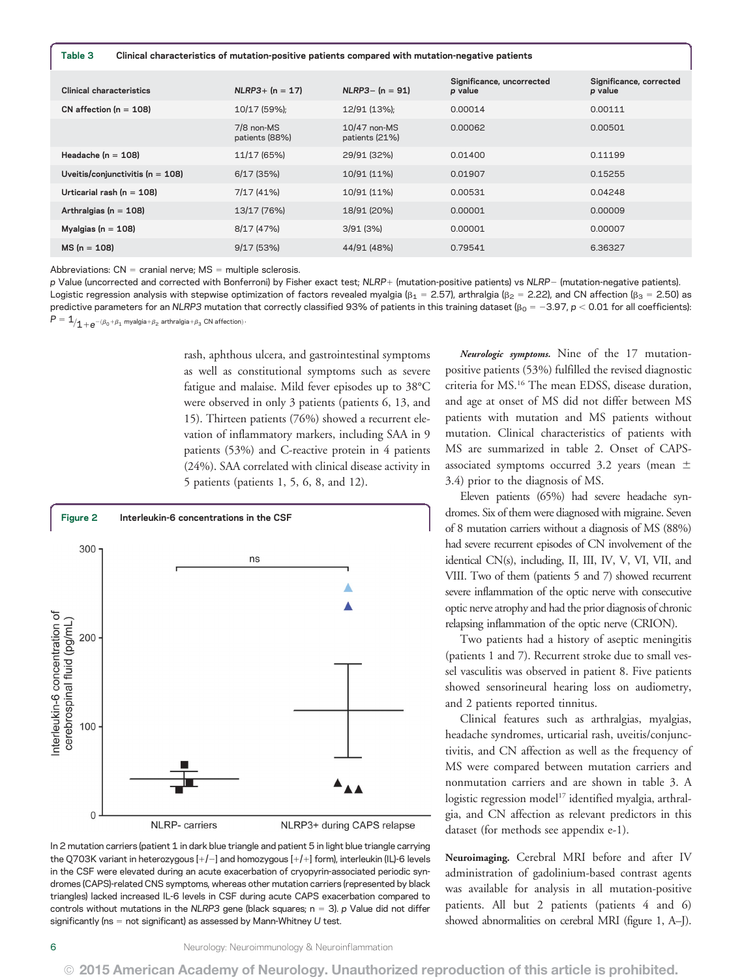Table 3 Clinical characteristics of mutation-positive patients compared with mutation-negative patients

| Clinical characteristics             | $NLRP3+ (n = 17)$            | $NLRP3 - (n = 91)$             | Significance, uncorrected<br>p value | Significance, corrected<br>p value |
|--------------------------------------|------------------------------|--------------------------------|--------------------------------------|------------------------------------|
| CN affection ( $n = 108$ )           | 10/17 (59%);                 | 12/91 (13%);                   | 0.00014                              | 0.00111                            |
|                                      | 7/8 non-MS<br>patients (88%) | 10/47 non-MS<br>patients (21%) | 0.00062                              | 0.00501                            |
| Headache (n = $108$ )                | 11/17 (65%)                  | 29/91 (32%)                    | 0.01400                              | 0.11199                            |
| Uveitis/conjunctivitis ( $n = 108$ ) | 6/17 (35%)                   | 10/91 (11%)                    | 0.01907                              | 0.15255                            |
| Urticarial rash ( $n = 108$ )        | 7/17 (41%)                   | 10/91 (11%)                    | 0.00531                              | 0.04248                            |
| Arthralgias ( $n = 108$ )            | 13/17 (76%)                  | 18/91 (20%)                    | 0.00001                              | 0.00009                            |
| Myalgias ( $n = 108$ )               | 8/17 (47%)                   | 3/91(3%)                       | 0.00001                              | 0.00007                            |
| $MS (n = 108)$                       | 9/17(53%)                    | 44/91 (48%)                    | 0.79541                              | 6.36327                            |
|                                      |                              |                                |                                      |                                    |

Abbreviations:  $CN =$  cranial nerve;  $MS =$  multiple sclerosis.

p Value (uncorrected and corrected with Bonferroni) by Fisher exact test; NLRP+ (mutation-positive patients) vs NLRP- (mutation-negative patients). Logistic regression analysis with stepwise optimization of factors revealed myalgia ( $\beta_1 = 2.57$ ), arthralgia ( $\beta_2 = 2.22$ ), and CN affection ( $\beta_3 = 2.50$ ) as predictive parameters for an NLRP3 mutation that correctly classified 93% of patients in this training dataset ( $\beta_0 = -3.97$ , p < 0.01 for all coefficients):  $P = \mathbf{1}_{\!/\mathbf{1}+\mathbf{e}^{-(\beta_0+\beta_1 \text{ myalgia}+\beta_2 \text{ arthralgia}+\beta_3 \text{ CN affection})}}$ 

> rash, aphthous ulcera, and gastrointestinal symptoms as well as constitutional symptoms such as severe fatigue and malaise. Mild fever episodes up to 38°C were observed in only 3 patients (patients 6, 13, and 15). Thirteen patients (76%) showed a recurrent elevation of inflammatory markers, including SAA in 9 patients (53%) and C-reactive protein in 4 patients (24%). SAA correlated with clinical disease activity in 5 patients (patients 1, 5, 6, 8, and 12).



In 2 mutation carriers (patient 1 in dark blue triangle and patient 5 in light blue triangle carrying the Q703K variant in heterozygous  $[+/-]$  and homozygous  $[+/+]$  form), interleukin (IL)-6 levels in the CSF were elevated during an acute exacerbation of cryopyrin-associated periodic syndromes (CAPS)-related CNS symptoms, whereas other mutation carriers (represented by black triangles) lacked increased IL-6 levels in CSF during acute CAPS exacerbation compared to controls without mutations in the NLRP3 gene (black squares;  $n = 3$ ). p Value did not differ significantly (ns = not significant) as assessed by Mann-Whitney  $U$  test.

Neurologic symptoms. Nine of the 17 mutationpositive patients (53%) fulfilled the revised diagnostic criteria for MS.16 The mean EDSS, disease duration, and age at onset of MS did not differ between MS patients with mutation and MS patients without mutation. Clinical characteristics of patients with MS are summarized in table 2. Onset of CAPSassociated symptoms occurred 3.2 years (mean  $\pm$ 3.4) prior to the diagnosis of MS.

Eleven patients (65%) had severe headache syndromes. Six of them were diagnosed with migraine. Seven of 8 mutation carriers without a diagnosis of MS (88%) had severe recurrent episodes of CN involvement of the identical CN(s), including, II, III, IV, V, VI, VII, and VIII. Two of them (patients 5 and 7) showed recurrent severe inflammation of the optic nerve with consecutive optic nerve atrophy and had the prior diagnosis of chronic relapsing inflammation of the optic nerve (CRION).

Two patients had a history of aseptic meningitis (patients 1 and 7). Recurrent stroke due to small vessel vasculitis was observed in patient 8. Five patients showed sensorineural hearing loss on audiometry, and 2 patients reported tinnitus.

Clinical features such as arthralgias, myalgias, headache syndromes, urticarial rash, uveitis/conjunctivitis, and CN affection as well as the frequency of MS were compared between mutation carriers and nonmutation carriers and are shown in table 3. A logistic regression model<sup>17</sup> identified myalgia, arthralgia, and CN affection as relevant predictors in this dataset (for methods see appendix e-1).

Neuroimaging. Cerebral MRI before and after IV administration of gadolinium-based contrast agents was available for analysis in all mutation-positive patients. All but 2 patients (patients 4 and 6) showed abnormalities on cerebral MRI (figure 1, A–J).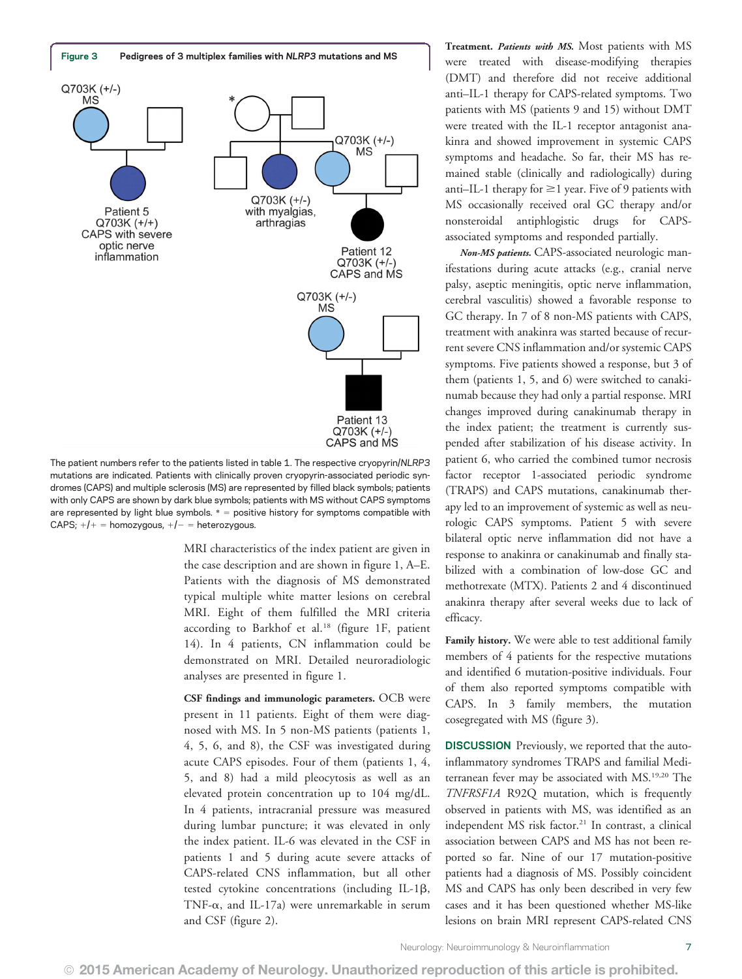

The patient numbers refer to the patients listed in table 1. The respective cryopyrin/NLRP3 mutations are indicated. Patients with clinically proven cryopyrin-associated periodic syndromes (CAPS) and multiple sclerosis (MS) are represented by filled black symbols; patients with only CAPS are shown by dark blue symbols; patients with MS without CAPS symptoms are represented by light blue symbols.  $* =$  positive history for symptoms compatible with CAPS;  $+/-$  = homozygous,  $+/-$  = heterozygous.

MRI characteristics of the index patient are given in the case description and are shown in figure 1, A–E. Patients with the diagnosis of MS demonstrated typical multiple white matter lesions on cerebral MRI. Eight of them fulfilled the MRI criteria according to Barkhof et al.<sup>18</sup> (figure 1F, patient 14). In 4 patients, CN inflammation could be demonstrated on MRI. Detailed neuroradiologic analyses are presented in figure 1.

CSF findings and immunologic parameters. OCB were present in 11 patients. Eight of them were diagnosed with MS. In 5 non-MS patients (patients 1, 4, 5, 6, and 8), the CSF was investigated during acute CAPS episodes. Four of them (patients 1, 4, 5, and 8) had a mild pleocytosis as well as an elevated protein concentration up to 104 mg/dL. In 4 patients, intracranial pressure was measured during lumbar puncture; it was elevated in only the index patient. IL-6 was elevated in the CSF in patients 1 and 5 during acute severe attacks of CAPS-related CNS inflammation, but all other tested cytokine concentrations (including IL-1 $\beta$ , TNF- $\alpha$ , and IL-17a) were unremarkable in serum and CSF (figure 2).

Treatment. Patients with MS. Most patients with MS were treated with disease-modifying therapies (DMT) and therefore did not receive additional anti–IL-1 therapy for CAPS-related symptoms. Two patients with MS (patients 9 and 15) without DMT were treated with the IL-1 receptor antagonist anakinra and showed improvement in systemic CAPS symptoms and headache. So far, their MS has remained stable (clinically and radiologically) during anti-IL-1 therapy for  $\geq$ 1 year. Five of 9 patients with MS occasionally received oral GC therapy and/or nonsteroidal antiphlogistic drugs for CAPSassociated symptoms and responded partially.

Non-MS patients. CAPS-associated neurologic manifestations during acute attacks (e.g., cranial nerve palsy, aseptic meningitis, optic nerve inflammation, cerebral vasculitis) showed a favorable response to GC therapy. In 7 of 8 non-MS patients with CAPS, treatment with anakinra was started because of recurrent severe CNS inflammation and/or systemic CAPS symptoms. Five patients showed a response, but 3 of them (patients 1, 5, and 6) were switched to canakinumab because they had only a partial response. MRI changes improved during canakinumab therapy in the index patient; the treatment is currently suspended after stabilization of his disease activity. In patient 6, who carried the combined tumor necrosis factor receptor 1-associated periodic syndrome (TRAPS) and CAPS mutations, canakinumab therapy led to an improvement of systemic as well as neurologic CAPS symptoms. Patient 5 with severe bilateral optic nerve inflammation did not have a response to anakinra or canakinumab and finally stabilized with a combination of low-dose GC and methotrexate (MTX). Patients 2 and 4 discontinued anakinra therapy after several weeks due to lack of efficacy.

Family history. We were able to test additional family members of 4 patients for the respective mutations and identified 6 mutation-positive individuals. Four of them also reported symptoms compatible with CAPS. In 3 family members, the mutation cosegregated with MS (figure 3).

DISCUSSION Previously, we reported that the autoinflammatory syndromes TRAPS and familial Mediterranean fever may be associated with MS.19,20 The TNFRSF1A R92Q mutation, which is frequently observed in patients with MS, was identified as an independent MS risk factor.<sup>21</sup> In contrast, a clinical association between CAPS and MS has not been reported so far. Nine of our 17 mutation-positive patients had a diagnosis of MS. Possibly coincident MS and CAPS has only been described in very few cases and it has been questioned whether MS-like lesions on brain MRI represent CAPS-related CNS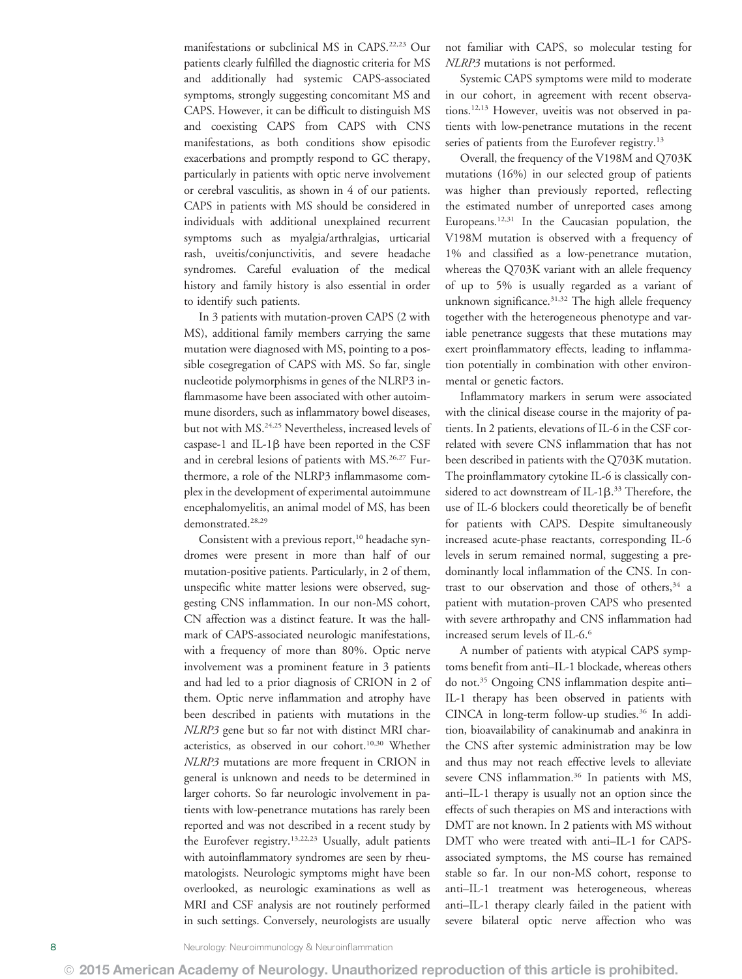manifestations or subclinical MS in CAPS.22,23 Our patients clearly fulfilled the diagnostic criteria for MS and additionally had systemic CAPS-associated symptoms, strongly suggesting concomitant MS and CAPS. However, it can be difficult to distinguish MS and coexisting CAPS from CAPS with CNS manifestations, as both conditions show episodic exacerbations and promptly respond to GC therapy, particularly in patients with optic nerve involvement or cerebral vasculitis, as shown in 4 of our patients. CAPS in patients with MS should be considered in individuals with additional unexplained recurrent symptoms such as myalgia/arthralgias, urticarial rash, uveitis/conjunctivitis, and severe headache syndromes. Careful evaluation of the medical history and family history is also essential in order to identify such patients.

In 3 patients with mutation-proven CAPS (2 with MS), additional family members carrying the same mutation were diagnosed with MS, pointing to a possible cosegregation of CAPS with MS. So far, single nucleotide polymorphisms in genes of the NLRP3 inflammasome have been associated with other autoimmune disorders, such as inflammatory bowel diseases, but not with MS.<sup>24,25</sup> Nevertheless, increased levels of caspase-1 and IL-1 $\beta$  have been reported in the CSF and in cerebral lesions of patients with MS.<sup>26,27</sup> Furthermore, a role of the NLRP3 inflammasome complex in the development of experimental autoimmune encephalomyelitis, an animal model of MS, has been demonstrated.<sup>28,29</sup>

Consistent with a previous report,<sup>10</sup> headache syndromes were present in more than half of our mutation-positive patients. Particularly, in 2 of them, unspecific white matter lesions were observed, suggesting CNS inflammation. In our non-MS cohort, CN affection was a distinct feature. It was the hallmark of CAPS-associated neurologic manifestations, with a frequency of more than 80%. Optic nerve involvement was a prominent feature in 3 patients and had led to a prior diagnosis of CRION in 2 of them. Optic nerve inflammation and atrophy have been described in patients with mutations in the NLRP3 gene but so far not with distinct MRI characteristics, as observed in our cohort.<sup>10,30</sup> Whether NLRP3 mutations are more frequent in CRION in general is unknown and needs to be determined in larger cohorts. So far neurologic involvement in patients with low-penetrance mutations has rarely been reported and was not described in a recent study by the Eurofever registry.<sup>13,22,23</sup> Usually, adult patients with autoinflammatory syndromes are seen by rheumatologists. Neurologic symptoms might have been overlooked, as neurologic examinations as well as MRI and CSF analysis are not routinely performed in such settings. Conversely, neurologists are usually

not familiar with CAPS, so molecular testing for NLRP3 mutations is not performed.

Systemic CAPS symptoms were mild to moderate in our cohort, in agreement with recent observations.12,13 However, uveitis was not observed in patients with low-penetrance mutations in the recent series of patients from the Eurofever registry.<sup>13</sup>

Overall, the frequency of the V198M and Q703K mutations (16%) in our selected group of patients was higher than previously reported, reflecting the estimated number of unreported cases among Europeans.12,31 In the Caucasian population, the V198M mutation is observed with a frequency of 1% and classified as a low-penetrance mutation, whereas the Q703K variant with an allele frequency of up to 5% is usually regarded as a variant of unknown significance.<sup>31,32</sup> The high allele frequency together with the heterogeneous phenotype and variable penetrance suggests that these mutations may exert proinflammatory effects, leading to inflammation potentially in combination with other environmental or genetic factors.

Inflammatory markers in serum were associated with the clinical disease course in the majority of patients. In 2 patients, elevations of IL-6 in the CSF correlated with severe CNS inflammation that has not been described in patients with the Q703K mutation. The proinflammatory cytokine IL-6 is classically considered to act downstream of IL-1 $\beta$ .<sup>33</sup> Therefore, the use of IL-6 blockers could theoretically be of benefit for patients with CAPS. Despite simultaneously increased acute-phase reactants, corresponding IL-6 levels in serum remained normal, suggesting a predominantly local inflammation of the CNS. In contrast to our observation and those of others,<sup>34</sup> a patient with mutation-proven CAPS who presented with severe arthropathy and CNS inflammation had increased serum levels of IL-6.<sup>6</sup>

A number of patients with atypical CAPS symptoms benefit from anti–IL-1 blockade, whereas others do not.35 Ongoing CNS inflammation despite anti– IL-1 therapy has been observed in patients with CINCA in long-term follow-up studies.<sup>36</sup> In addition, bioavailability of canakinumab and anakinra in the CNS after systemic administration may be low and thus may not reach effective levels to alleviate severe CNS inflammation.<sup>36</sup> In patients with MS, anti–IL-1 therapy is usually not an option since the effects of such therapies on MS and interactions with DMT are not known. In 2 patients with MS without DMT who were treated with anti–IL-1 for CAPSassociated symptoms, the MS course has remained stable so far. In our non-MS cohort, response to anti–IL-1 treatment was heterogeneous, whereas anti–IL-1 therapy clearly failed in the patient with severe bilateral optic nerve affection who was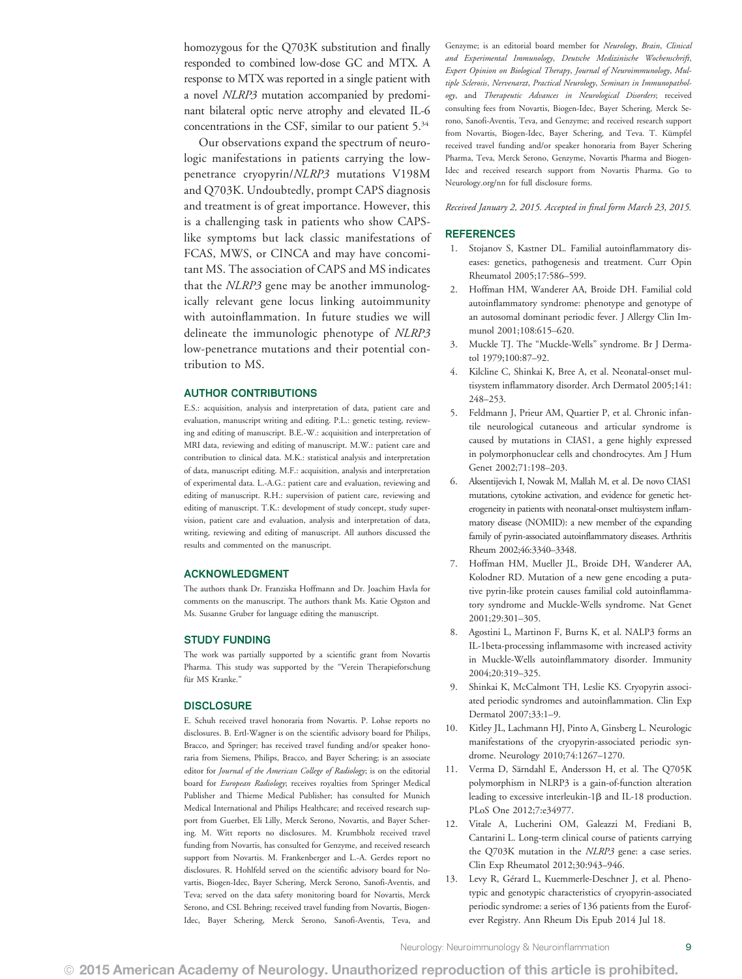homozygous for the Q703K substitution and finally responded to combined low-dose GC and MTX. A response to MTX was reported in a single patient with a novel NLRP3 mutation accompanied by predominant bilateral optic nerve atrophy and elevated IL-6 concentrations in the CSF, similar to our patient 5.34

Our observations expand the spectrum of neurologic manifestations in patients carrying the lowpenetrance cryopyrin/NLRP3 mutations V198M and Q703K. Undoubtedly, prompt CAPS diagnosis and treatment is of great importance. However, this is a challenging task in patients who show CAPSlike symptoms but lack classic manifestations of FCAS, MWS, or CINCA and may have concomitant MS. The association of CAPS and MS indicates that the NLRP3 gene may be another immunologically relevant gene locus linking autoimmunity with autoinflammation. In future studies we will delineate the immunologic phenotype of NLRP3 low-penetrance mutations and their potential contribution to MS.

### AUTHOR CONTRIBUTIONS

E.S.: acquisition, analysis and interpretation of data, patient care and evaluation, manuscript writing and editing. P.L.: genetic testing, reviewing and editing of manuscript. B.E.-W.: acquisition and interpretation of MRI data, reviewing and editing of manuscript. M.W.: patient care and contribution to clinical data. M.K.: statistical analysis and interpretation of data, manuscript editing. M.F.: acquisition, analysis and interpretation of experimental data. L.-A.G.: patient care and evaluation, reviewing and editing of manuscript. R.H.: supervision of patient care, reviewing and editing of manuscript. T.K.: development of study concept, study supervision, patient care and evaluation, analysis and interpretation of data, writing, reviewing and editing of manuscript. All authors discussed the results and commented on the manuscript.

### ACKNOWLEDGMENT

The authors thank Dr. Franziska Hoffmann and Dr. Joachim Havla for comments on the manuscript. The authors thank Ms. Katie Ogston and Ms. Susanne Gruber for language editing the manuscript.

### STUDY FUNDING

The work was partially supported by a scientific grant from Novartis Pharma. This study was supported by the "Verein Therapieforschung für MS Kranke.'

### **DISCLOSURE**

E. Schuh received travel honoraria from Novartis. P. Lohse reports no disclosures. B. Ertl-Wagner is on the scientific advisory board for Philips, Bracco, and Springer; has received travel funding and/or speaker honoraria from Siemens, Philips, Bracco, and Bayer Schering; is an associate editor for Journal of the American College of Radiology; is on the editorial board for European Radiology; receives royalties from Springer Medical Publisher and Thieme Medical Publisher; has consulted for Munich Medical International and Philips Healthcare; and received research support from Guerbet, Eli Lilly, Merck Serono, Novartis, and Bayer Schering. M. Witt reports no disclosures. M. Krumbholz received travel funding from Novartis, has consulted for Genzyme, and received research support from Novartis. M. Frankenberger and L.-A. Gerdes report no disclosures. R. Hohlfeld served on the scientific advisory board for Novartis, Biogen-Idec, Bayer Schering, Merck Serono, Sanofi-Aventis, and Teva; served on the data safety monitoring board for Novartis, Merck Serono, and CSL Behring; received travel funding from Novartis, Biogen-Idec, Bayer Schering, Merck Serono, Sanofi-Aventis, Teva, and

Genzyme; is an editorial board member for Neurology, Brain, Clinical and Experimental Immunology, Deutsche Medizinische Wochenschrift, Expert Opinion on Biological Therapy, Journal of Neuroimmunology, Multiple Sclerosis, Nervenarzt, Practical Neurology, Seminars in Immunopathology, and Therapeutic Advances in Neurological Disorders; received consulting fees from Novartis, Biogen-Idec, Bayer Schering, Merck Serono, Sanofi-Aventis, Teva, and Genzyme; and received research support from Novartis, Biogen-Idec, Bayer Schering, and Teva. T. Kümpfel received travel funding and/or speaker honoraria from Bayer Schering Pharma, Teva, Merck Serono, Genzyme, Novartis Pharma and Biogen-Idec and received research support from Novartis Pharma. Go to [Neurology.org/nn](http://nn.neurology.org/lookup/doi/10.1212/NXI.0000000000000109) for full disclosure forms.

Received January 2, 2015. Accepted in final form March 23, 2015.

### REFERENCES

- 1. Stojanov S, Kastner DL. Familial autoinflammatory diseases: genetics, pathogenesis and treatment. Curr Opin Rheumatol 2005;17:586–599.
- 2. Hoffman HM, Wanderer AA, Broide DH. Familial cold autoinflammatory syndrome: phenotype and genotype of an autosomal dominant periodic fever. J Allergy Clin Immunol 2001;108:615–620.
- 3. Muckle TJ. The "Muckle-Wells" syndrome. Br J Dermatol 1979;100:87–92.
- 4. Kilcline C, Shinkai K, Bree A, et al. Neonatal-onset multisystem inflammatory disorder. Arch Dermatol 2005;141: 248–253.
- 5. Feldmann J, Prieur AM, Quartier P, et al. Chronic infantile neurological cutaneous and articular syndrome is caused by mutations in CIAS1, a gene highly expressed in polymorphonuclear cells and chondrocytes. Am J Hum Genet 2002;71:198–203.
- 6. Aksentijevich I, Nowak M, Mallah M, et al. De novo CIAS1 mutations, cytokine activation, and evidence for genetic heterogeneity in patients with neonatal-onset multisystem inflammatory disease (NOMID): a new member of the expanding family of pyrin-associated autoinflammatory diseases. Arthritis Rheum 2002;46:3340–3348.
- 7. Hoffman HM, Mueller JL, Broide DH, Wanderer AA, Kolodner RD. Mutation of a new gene encoding a putative pyrin-like protein causes familial cold autoinflammatory syndrome and Muckle-Wells syndrome. Nat Genet 2001;29:301–305.
- 8. Agostini L, Martinon F, Burns K, et al. NALP3 forms an IL-1beta-processing inflammasome with increased activity in Muckle-Wells autoinflammatory disorder. Immunity 2004;20:319–325.
- 9. Shinkai K, McCalmont TH, Leslie KS. Cryopyrin associated periodic syndromes and autoinflammation. Clin Exp Dermatol 2007;33:1–9.
- 10. Kitley JL, Lachmann HJ, Pinto A, Ginsberg L. Neurologic manifestations of the cryopyrin-associated periodic syndrome. Neurology 2010;74:1267–1270.
- 11. Verma D, Särndahl E, Andersson H, et al. The Q705K polymorphism in NLRP3 is a gain-of-function alteration leading to excessive interleukin-1 $\beta$  and IL-18 production. PLoS One 2012;7:e34977.
- 12. Vitale A, Lucherini OM, Galeazzi M, Frediani B, Cantarini L. Long-term clinical course of patients carrying the Q703K mutation in the NLRP3 gene: a case series. Clin Exp Rheumatol 2012;30:943–946.
- 13. Levy R, Gérard L, Kuemmerle-Deschner J, et al. Phenotypic and genotypic characteristics of cryopyrin-associated periodic syndrome: a series of 136 patients from the Eurofever Registry. Ann Rheum Dis Epub 2014 Jul 18.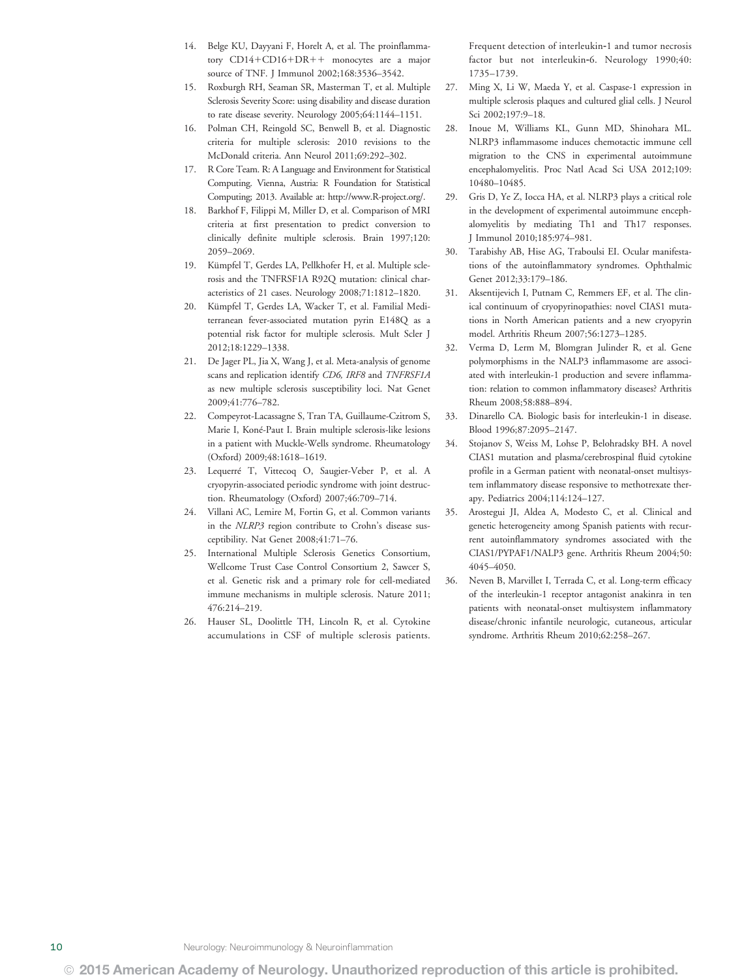- 14. Belge KU, Dayyani F, Horelt A, et al. The proinflammatory  $CD14+CD16+DR++$  monocytes are a major source of TNF. J Immunol 2002;168:3536–3542.
- 15. Roxburgh RH, Seaman SR, Masterman T, et al. Multiple Sclerosis Severity Score: using disability and disease duration to rate disease severity. Neurology 2005;64:1144–1151.
- 16. Polman CH, Reingold SC, Benwell B, et al. Diagnostic criteria for multiple sclerosis: 2010 revisions to the McDonald criteria. Ann Neurol 2011;69:292–302.
- 17. R Core Team. R: A Language and Environment for Statistical Computing. Vienna, Austria: R Foundation for Statistical Computing; 2013. Available at: [http://www.R-project.org/.](http://www.R-project.org/)
- 18. Barkhof F, Filippi M, Miller D, et al. Comparison of MRI criteria at first presentation to predict conversion to clinically definite multiple sclerosis. Brain 1997;120: 2059–2069.
- 19. Kümpfel T, Gerdes LA, Pellkhofer H, et al. Multiple sclerosis and the TNFRSF1A R92Q mutation: clinical characteristics of 21 cases. Neurology 2008;71:1812–1820.
- Kümpfel T, Gerdes LA, Wacker T, et al. Familial Mediterranean fever-associated mutation pyrin E148Q as a potential risk factor for multiple sclerosis. Mult Scler J 2012;18:1229–1338.
- 21. De Jager PL, Jia X, Wang J, et al. Meta-analysis of genome scans and replication identify CD6, IRF8 and TNFRSF1A as new multiple sclerosis susceptibility loci. Nat Genet 2009;41:776–782.
- 22. Compeyrot-Lacassagne S, Tran TA, Guillaume-Czitrom S, Marie I, Koné-Paut I. Brain multiple sclerosis-like lesions in a patient with Muckle-Wells syndrome. Rheumatology (Oxford) 2009;48:1618–1619.
- 23. Lequerré T, Vittecoq O, Saugier-Veber P, et al. A cryopyrin-associated periodic syndrome with joint destruction. Rheumatology (Oxford) 2007;46:709–714.
- 24. Villani AC, Lemire M, Fortin G, et al. Common variants in the NLRP3 region contribute to Crohn's disease susceptibility. Nat Genet 2008;41:71–76.
- 25. International Multiple Sclerosis Genetics Consortium, Wellcome Trust Case Control Consortium 2, Sawcer S, et al. Genetic risk and a primary role for cell-mediated immune mechanisms in multiple sclerosis. Nature 2011; 476:214–219.
- 26. Hauser SL, Doolittle TH, Lincoln R, et al. Cytokine accumulations in CSF of multiple sclerosis patients.

Frequent detection of interleukin-1 and tumor necrosis factor but not interleukin‐6. Neurology 1990;40: 1735–1739.

- 27. Ming X, Li W, Maeda Y, et al. Caspase-1 expression in multiple sclerosis plaques and cultured glial cells. J Neurol Sci 2002;197:9–18.
- 28. Inoue M, Williams KL, Gunn MD, Shinohara ML. NLRP3 inflammasome induces chemotactic immune cell migration to the CNS in experimental autoimmune encephalomyelitis. Proc Natl Acad Sci USA 2012;109: 10480–10485.
- 29. Gris D, Ye Z, Iocca HA, et al. NLRP3 plays a critical role in the development of experimental autoimmune encephalomyelitis by mediating Th1 and Th17 responses. J Immunol 2010;185:974–981.
- 30. Tarabishy AB, Hise AG, Traboulsi EI. Ocular manifestations of the autoinflammatory syndromes. Ophthalmic Genet 2012;33:179–186.
- 31. Aksentijevich I, Putnam C, Remmers EF, et al. The clinical continuum of cryopyrinopathies: novel CIAS1 mutations in North American patients and a new cryopyrin model. Arthritis Rheum 2007;56:1273–1285.
- 32. Verma D, Lerm M, Blomgran Julinder R, et al. Gene polymorphisms in the NALP3 inflammasome are associated with interleukin-1 production and severe inflammation: relation to common inflammatory diseases? Arthritis Rheum 2008;58:888–894.
- 33. Dinarello CA. Biologic basis for interleukin-1 in disease. Blood 1996;87:2095–2147.
- 34. Stojanov S, Weiss M, Lohse P, Belohradsky BH. A novel CIAS1 mutation and plasma/cerebrospinal fluid cytokine profile in a German patient with neonatal-onset multisystem inflammatory disease responsive to methotrexate therapy. Pediatrics 2004;114:124–127.
- 35. Arostegui JI, Aldea A, Modesto C, et al. Clinical and genetic heterogeneity among Spanish patients with recurrent autoinflammatory syndromes associated with the CIAS1/PYPAF1/NALP3 gene. Arthritis Rheum 2004;50: 4045–4050.
- 36. Neven B, Marvillet I, Terrada C, et al. Long-term efficacy of the interleukin-1 receptor antagonist anakinra in ten patients with neonatal-onset multisystem inflammatory disease/chronic infantile neurologic, cutaneous, articular syndrome. Arthritis Rheum 2010;62:258–267.

© 2015 American Academy of Neurology. Unauthorized reproduction of this article is prohibited.